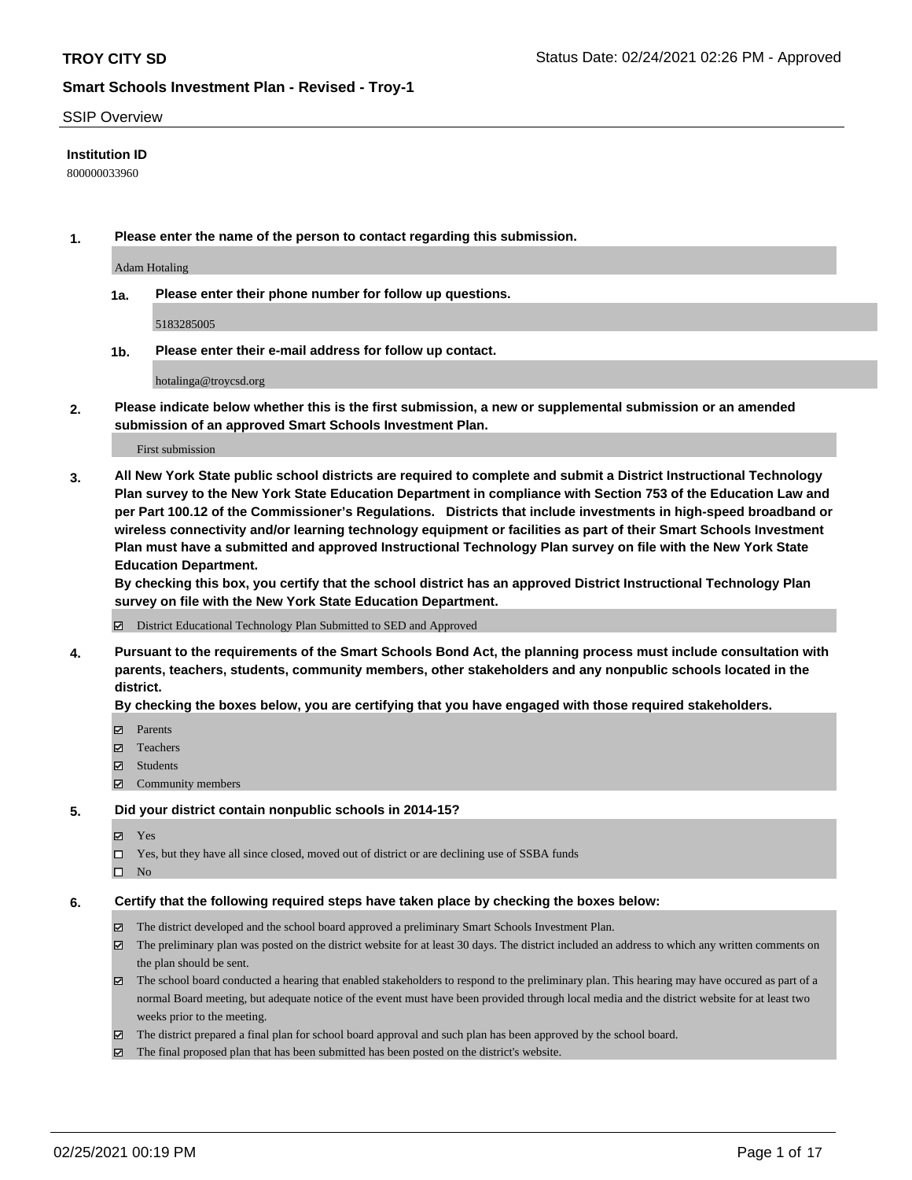#### SSIP Overview

## **Institution ID**

800000033960

**1. Please enter the name of the person to contact regarding this submission.**

Adam Hotaling

**1a. Please enter their phone number for follow up questions.**

5183285005

**1b. Please enter their e-mail address for follow up contact.**

hotalinga@troycsd.org

**2. Please indicate below whether this is the first submission, a new or supplemental submission or an amended submission of an approved Smart Schools Investment Plan.**

#### First submission

**3. All New York State public school districts are required to complete and submit a District Instructional Technology Plan survey to the New York State Education Department in compliance with Section 753 of the Education Law and per Part 100.12 of the Commissioner's Regulations. Districts that include investments in high-speed broadband or wireless connectivity and/or learning technology equipment or facilities as part of their Smart Schools Investment Plan must have a submitted and approved Instructional Technology Plan survey on file with the New York State Education Department.** 

**By checking this box, you certify that the school district has an approved District Instructional Technology Plan survey on file with the New York State Education Department.**

District Educational Technology Plan Submitted to SED and Approved

**4. Pursuant to the requirements of the Smart Schools Bond Act, the planning process must include consultation with parents, teachers, students, community members, other stakeholders and any nonpublic schools located in the district.** 

#### **By checking the boxes below, you are certifying that you have engaged with those required stakeholders.**

- **□** Parents
- Teachers
- Students
- $\Xi$  Community members

#### **5. Did your district contain nonpublic schools in 2014-15?**

- Yes
- □ Yes, but they have all since closed, moved out of district or are declining use of SSBA funds
- $\hfill \square$  No

#### **6. Certify that the following required steps have taken place by checking the boxes below:**

- The district developed and the school board approved a preliminary Smart Schools Investment Plan.
- The preliminary plan was posted on the district website for at least 30 days. The district included an address to which any written comments on the plan should be sent.
- The school board conducted a hearing that enabled stakeholders to respond to the preliminary plan. This hearing may have occured as part of a normal Board meeting, but adequate notice of the event must have been provided through local media and the district website for at least two weeks prior to the meeting.
- The district prepared a final plan for school board approval and such plan has been approved by the school board.
- $\boxtimes$  The final proposed plan that has been submitted has been posted on the district's website.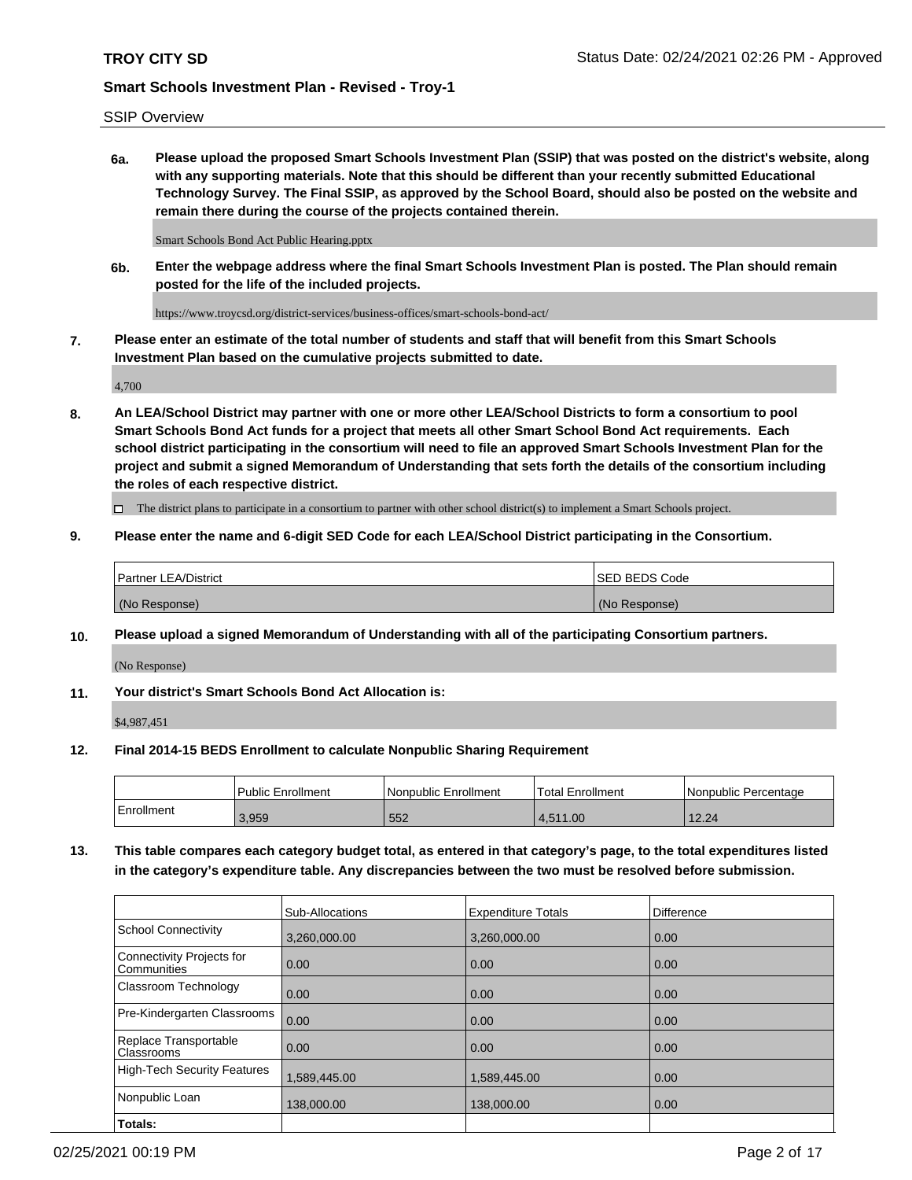# SSIP Overview

**6a. Please upload the proposed Smart Schools Investment Plan (SSIP) that was posted on the district's website, along with any supporting materials. Note that this should be different than your recently submitted Educational Technology Survey. The Final SSIP, as approved by the School Board, should also be posted on the website and remain there during the course of the projects contained therein.**

Smart Schools Bond Act Public Hearing.pptx

**6b. Enter the webpage address where the final Smart Schools Investment Plan is posted. The Plan should remain posted for the life of the included projects.**

https://www.troycsd.org/district-services/business-offices/smart-schools-bond-act/

**7. Please enter an estimate of the total number of students and staff that will benefit from this Smart Schools Investment Plan based on the cumulative projects submitted to date.**

4,700

**8. An LEA/School District may partner with one or more other LEA/School Districts to form a consortium to pool Smart Schools Bond Act funds for a project that meets all other Smart School Bond Act requirements. Each school district participating in the consortium will need to file an approved Smart Schools Investment Plan for the project and submit a signed Memorandum of Understanding that sets forth the details of the consortium including the roles of each respective district.**

 $\Box$  The district plans to participate in a consortium to partner with other school district(s) to implement a Smart Schools project.

## **9. Please enter the name and 6-digit SED Code for each LEA/School District participating in the Consortium.**

| Partner LEA/District | <b>ISED BEDS Code</b> |
|----------------------|-----------------------|
| (No Response)        | (No Response)         |

## **10. Please upload a signed Memorandum of Understanding with all of the participating Consortium partners.**

(No Response)

## **11. Your district's Smart Schools Bond Act Allocation is:**

\$4,987,451

## **12. Final 2014-15 BEDS Enrollment to calculate Nonpublic Sharing Requirement**

|            | Public Enrollment | Nonpublic Enrollment | Total Enrollment | l Nonpublic Percentage |
|------------|-------------------|----------------------|------------------|------------------------|
| Enrollment | 3.959             | 552                  | .511.00<br>4.O   | 12.24                  |

**13. This table compares each category budget total, as entered in that category's page, to the total expenditures listed in the category's expenditure table. Any discrepancies between the two must be resolved before submission.**

|                                          | Sub-Allocations | <b>Expenditure Totals</b> | Difference |
|------------------------------------------|-----------------|---------------------------|------------|
| <b>School Connectivity</b>               | 3,260,000.00    | 3,260,000.00              | 0.00       |
| Connectivity Projects for<br>Communities | 0.00            | 0.00                      | 0.00       |
| Classroom Technology                     | 0.00            | 0.00                      | 0.00       |
| Pre-Kindergarten Classrooms              | 0.00            | 0.00                      | 0.00       |
| Replace Transportable<br>Classrooms      | 0.00            | 0.00                      | 0.00       |
| <b>High-Tech Security Features</b>       | 1,589,445.00    | 1,589,445.00              | 0.00       |
| Nonpublic Loan                           | 138,000.00      | 138,000.00                | 0.00       |
| Totals:                                  |                 |                           |            |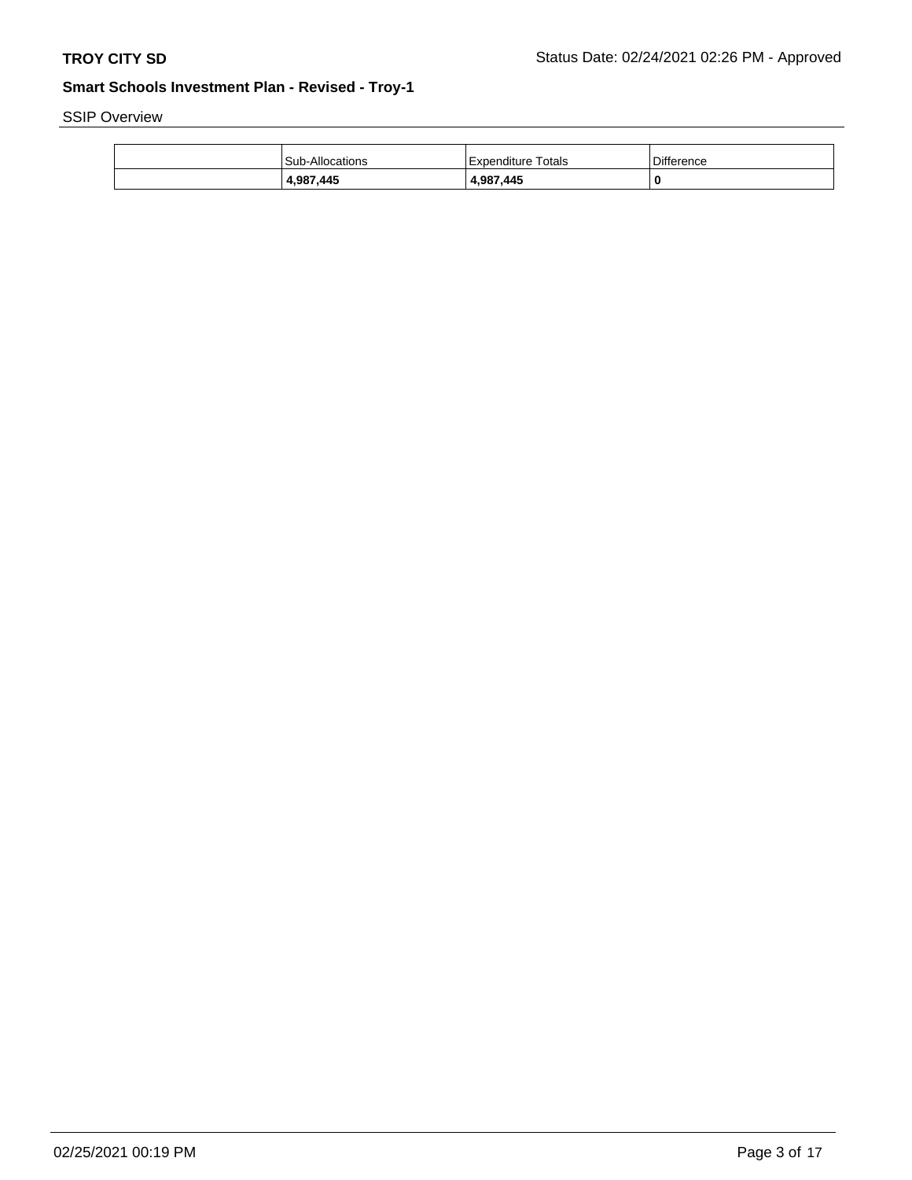SSIP Overview

| 4,987,445              | 4,987,445          |            |
|------------------------|--------------------|------------|
| <b>Sub-Allocations</b> | Expenditure Totals | Difference |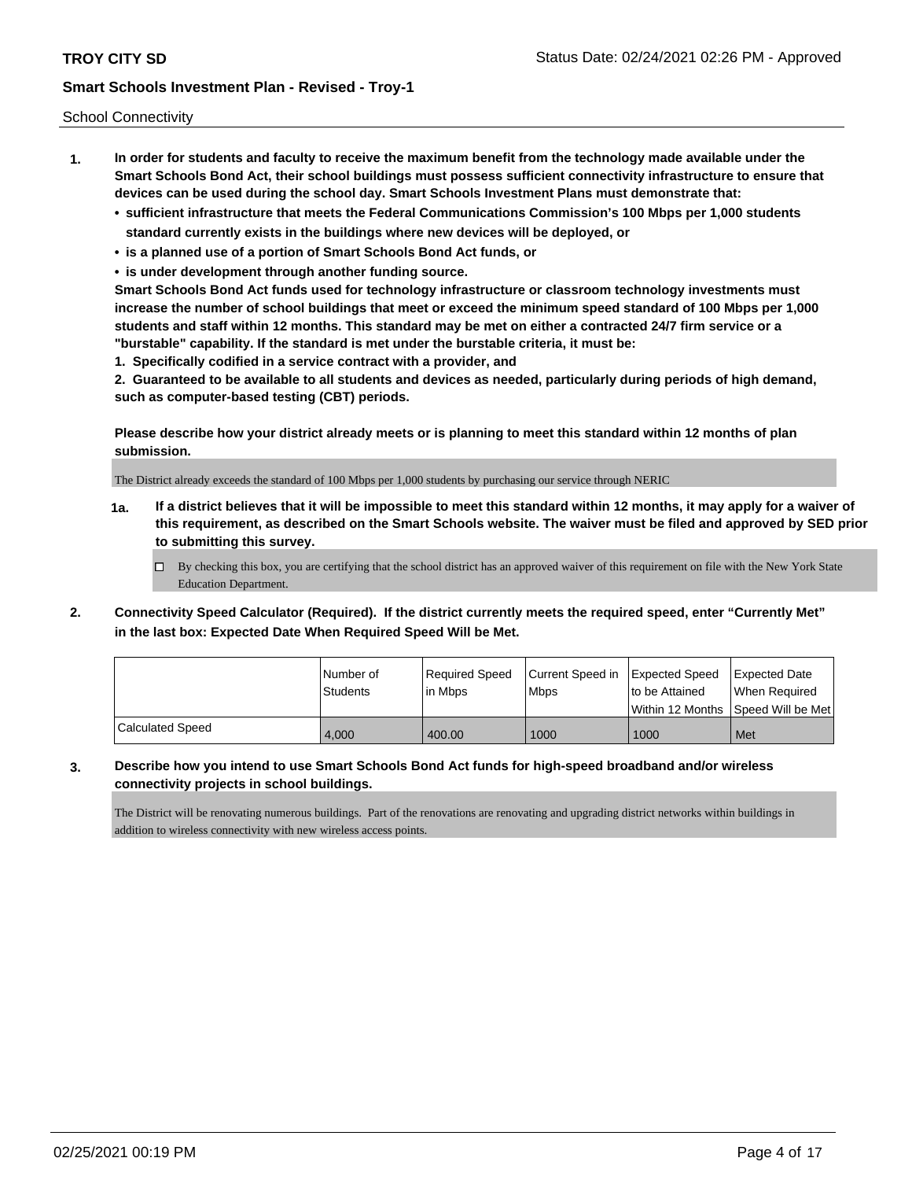School Connectivity

- **1. In order for students and faculty to receive the maximum benefit from the technology made available under the Smart Schools Bond Act, their school buildings must possess sufficient connectivity infrastructure to ensure that devices can be used during the school day. Smart Schools Investment Plans must demonstrate that:**
	- **• sufficient infrastructure that meets the Federal Communications Commission's 100 Mbps per 1,000 students standard currently exists in the buildings where new devices will be deployed, or**
	- **• is a planned use of a portion of Smart Schools Bond Act funds, or**
	- **• is under development through another funding source.**

**Smart Schools Bond Act funds used for technology infrastructure or classroom technology investments must increase the number of school buildings that meet or exceed the minimum speed standard of 100 Mbps per 1,000 students and staff within 12 months. This standard may be met on either a contracted 24/7 firm service or a "burstable" capability. If the standard is met under the burstable criteria, it must be:**

**1. Specifically codified in a service contract with a provider, and**

**2. Guaranteed to be available to all students and devices as needed, particularly during periods of high demand, such as computer-based testing (CBT) periods.**

**Please describe how your district already meets or is planning to meet this standard within 12 months of plan submission.**

The District already exceeds the standard of 100 Mbps per 1,000 students by purchasing our service through NERIC

**1a. If a district believes that it will be impossible to meet this standard within 12 months, it may apply for a waiver of this requirement, as described on the Smart Schools website. The waiver must be filed and approved by SED prior to submitting this survey.**

 $\Box$  By checking this box, you are certifying that the school district has an approved waiver of this requirement on file with the New York State Education Department.

**2. Connectivity Speed Calculator (Required). If the district currently meets the required speed, enter "Currently Met" in the last box: Expected Date When Required Speed Will be Met.**

|                  | l Number of<br>Students | Required Speed<br>lin Mbps | Current Speed in<br><b>Mbps</b> | <b>Expected Speed</b><br>to be Attained | <b>Expected Date</b><br>When Reauired |
|------------------|-------------------------|----------------------------|---------------------------------|-----------------------------------------|---------------------------------------|
|                  |                         |                            |                                 |                                         | Within 12 Months 1Speed Will be Met   |
| Calculated Speed | 4.000                   | 400.00                     | 1000                            | 1000                                    | Met                                   |

**3. Describe how you intend to use Smart Schools Bond Act funds for high-speed broadband and/or wireless connectivity projects in school buildings.**

The District will be renovating numerous buildings. Part of the renovations are renovating and upgrading district networks within buildings in addition to wireless connectivity with new wireless access points.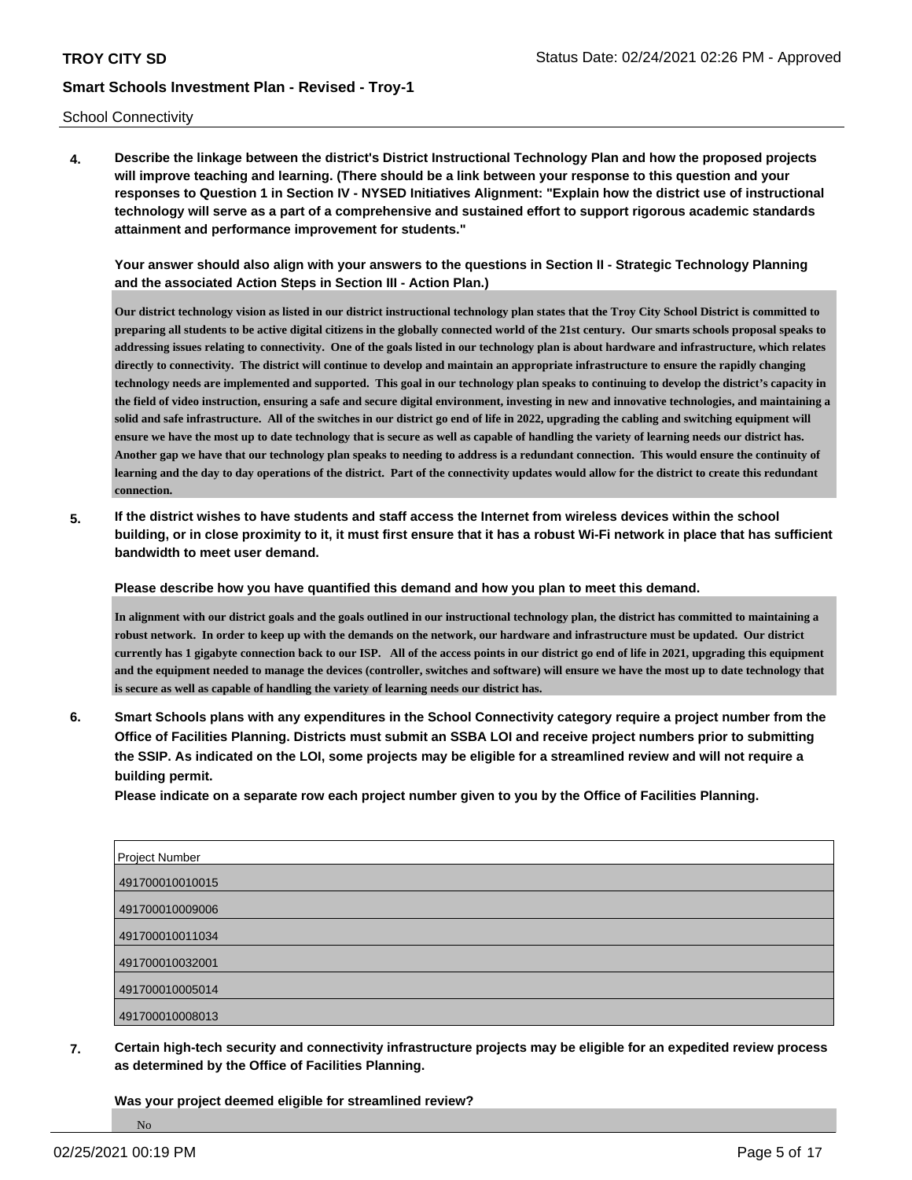School Connectivity

**4. Describe the linkage between the district's District Instructional Technology Plan and how the proposed projects will improve teaching and learning. (There should be a link between your response to this question and your responses to Question 1 in Section IV - NYSED Initiatives Alignment: "Explain how the district use of instructional technology will serve as a part of a comprehensive and sustained effort to support rigorous academic standards attainment and performance improvement for students."** 

**Your answer should also align with your answers to the questions in Section II - Strategic Technology Planning and the associated Action Steps in Section III - Action Plan.)**

**Our district technology vision as listed in our district instructional technology plan states that the Troy City School District is committed to preparing all students to be active digital citizens in the globally connected world of the 21st century. Our smarts schools proposal speaks to addressing issues relating to connectivity. One of the goals listed in our technology plan is about hardware and infrastructure, which relates directly to connectivity. The district will continue to develop and maintain an appropriate infrastructure to ensure the rapidly changing technology needs are implemented and supported. This goal in our technology plan speaks to continuing to develop the district's capacity in the field of video instruction, ensuring a safe and secure digital environment, investing in new and innovative technologies, and maintaining a solid and safe infrastructure. All of the switches in our district go end of life in 2022, upgrading the cabling and switching equipment will ensure we have the most up to date technology that is secure as well as capable of handling the variety of learning needs our district has. Another gap we have that our technology plan speaks to needing to address is a redundant connection. This would ensure the continuity of learning and the day to day operations of the district. Part of the connectivity updates would allow for the district to create this redundant connection.**

**5. If the district wishes to have students and staff access the Internet from wireless devices within the school building, or in close proximity to it, it must first ensure that it has a robust Wi-Fi network in place that has sufficient bandwidth to meet user demand.**

**Please describe how you have quantified this demand and how you plan to meet this demand.**

**In alignment with our district goals and the goals outlined in our instructional technology plan, the district has committed to maintaining a robust network. In order to keep up with the demands on the network, our hardware and infrastructure must be updated. Our district currently has 1 gigabyte connection back to our ISP. All of the access points in our district go end of life in 2021, upgrading this equipment and the equipment needed to manage the devices (controller, switches and software) will ensure we have the most up to date technology that is secure as well as capable of handling the variety of learning needs our district has.**

**6. Smart Schools plans with any expenditures in the School Connectivity category require a project number from the Office of Facilities Planning. Districts must submit an SSBA LOI and receive project numbers prior to submitting the SSIP. As indicated on the LOI, some projects may be eligible for a streamlined review and will not require a building permit.**

**Please indicate on a separate row each project number given to you by the Office of Facilities Planning.**

| <b>Project Number</b> |
|-----------------------|
| 491700010010015       |
| 491700010009006       |
| 491700010011034       |
| 491700010032001       |
| 491700010005014       |
| 491700010008013       |

**7. Certain high-tech security and connectivity infrastructure projects may be eligible for an expedited review process as determined by the Office of Facilities Planning.**

**Was your project deemed eligible for streamlined review?**

No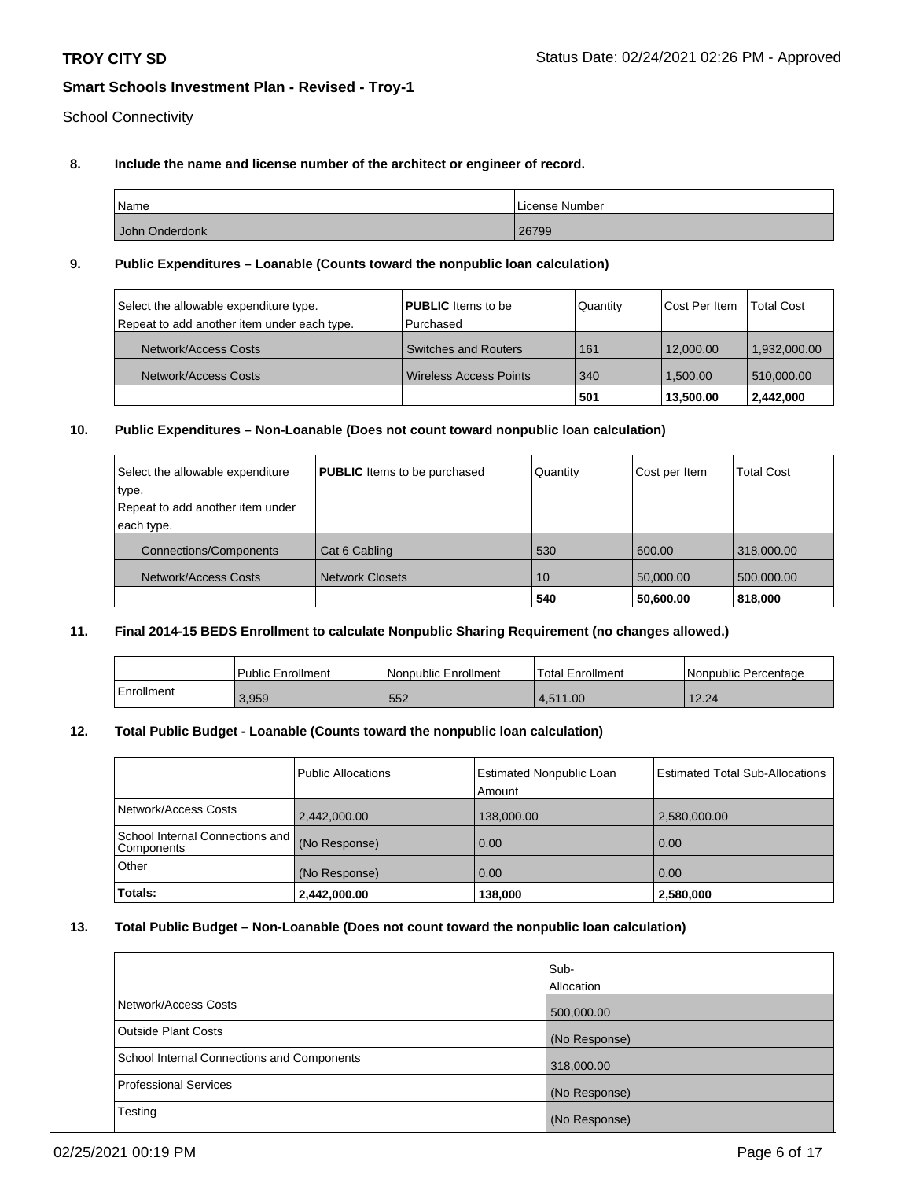School Connectivity

# **8. Include the name and license number of the architect or engineer of record.**

| Name           | License Number |
|----------------|----------------|
| John Onderdonk | 26799          |

## **9. Public Expenditures – Loanable (Counts toward the nonpublic loan calculation)**

| Select the allowable expenditure type.      | <b>PUBLIC</b> Items to be     | Quantity | Cost Per Item | <b>Total Cost</b> |
|---------------------------------------------|-------------------------------|----------|---------------|-------------------|
| Repeat to add another item under each type. | l Purchased                   |          |               |                   |
| Network/Access Costs                        | <b>Switches and Routers</b>   | 161      | 12,000.00     | 1,932,000.00      |
| Network/Access Costs                        | <b>Wireless Access Points</b> | 340      | 1.500.00      | 510,000.00        |
|                                             |                               | 501      | 13,500.00     | 2,442,000         |

# **10. Public Expenditures – Non-Loanable (Does not count toward nonpublic loan calculation)**

| Select the allowable expenditure | <b>PUBLIC</b> Items to be purchased | Quantity | Cost per Item | <b>Total Cost</b> |
|----------------------------------|-------------------------------------|----------|---------------|-------------------|
| type.                            |                                     |          |               |                   |
| Repeat to add another item under |                                     |          |               |                   |
| each type.                       |                                     |          |               |                   |
| <b>Connections/Components</b>    | Cat 6 Cabling                       | 530      | 600.00        | 318,000.00        |
| Network/Access Costs             | <b>Network Closets</b>              | 10       | 50,000.00     | 500,000.00        |
|                                  |                                     | 540      | 50,600.00     | 818,000           |

# **11. Final 2014-15 BEDS Enrollment to calculate Nonpublic Sharing Requirement (no changes allowed.)**

|            | <b>Public Enrollment</b> | Nonpublic Enrollment | <b>Total Enrollment</b> | l Nonpublic Percentage |
|------------|--------------------------|----------------------|-------------------------|------------------------|
| Enrollment | 3,959                    | ' 552                | 4.511.00                | 12.24                  |

#### **12. Total Public Budget - Loanable (Counts toward the nonpublic loan calculation)**

|                                                  | <b>Public Allocations</b> | <b>Estimated Nonpublic Loan</b><br>Amount | <b>Estimated Total Sub-Allocations</b> |
|--------------------------------------------------|---------------------------|-------------------------------------------|----------------------------------------|
| Network/Access Costs                             | 2,442,000.00              | 138,000.00                                | 2,580,000.00                           |
| School Internal Connections and   <br>Components | (No Response)             | 0.00                                      | 0.00                                   |
| Other                                            | (No Response)             | 0.00                                      | 0.00                                   |
| Totals:                                          | 2,442,000.00              | 138,000                                   | 2,580,000                              |

#### **13. Total Public Budget – Non-Loanable (Does not count toward the nonpublic loan calculation)**

|                                            | Sub-          |
|--------------------------------------------|---------------|
|                                            | Allocation    |
| Network/Access Costs                       | 500,000.00    |
| <b>Outside Plant Costs</b>                 | (No Response) |
| School Internal Connections and Components | 318,000.00    |
| <b>Professional Services</b>               | (No Response) |
| Testing                                    | (No Response) |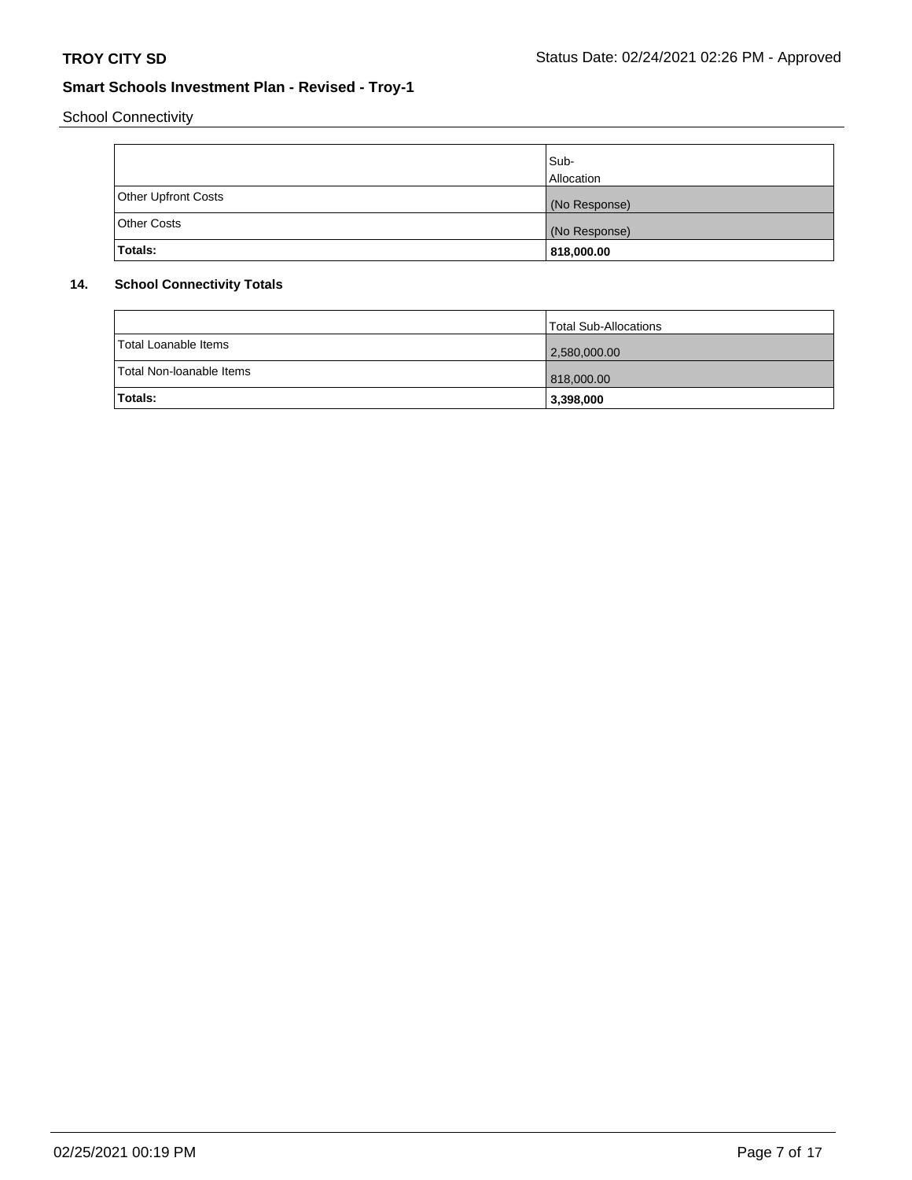School Connectivity

|                            | Sub-<br>Allocation |
|----------------------------|--------------------|
| <b>Other Upfront Costs</b> | (No Response)      |
| <b>Other Costs</b>         | (No Response)      |
| Totals:                    | 818,000.00         |

# **14. School Connectivity Totals**

|                          | <b>Total Sub-Allocations</b> |
|--------------------------|------------------------------|
| Total Loanable Items     | 2,580,000.00                 |
| Total Non-Ioanable Items | 818,000.00                   |
| <b>Totals:</b>           | 3,398,000                    |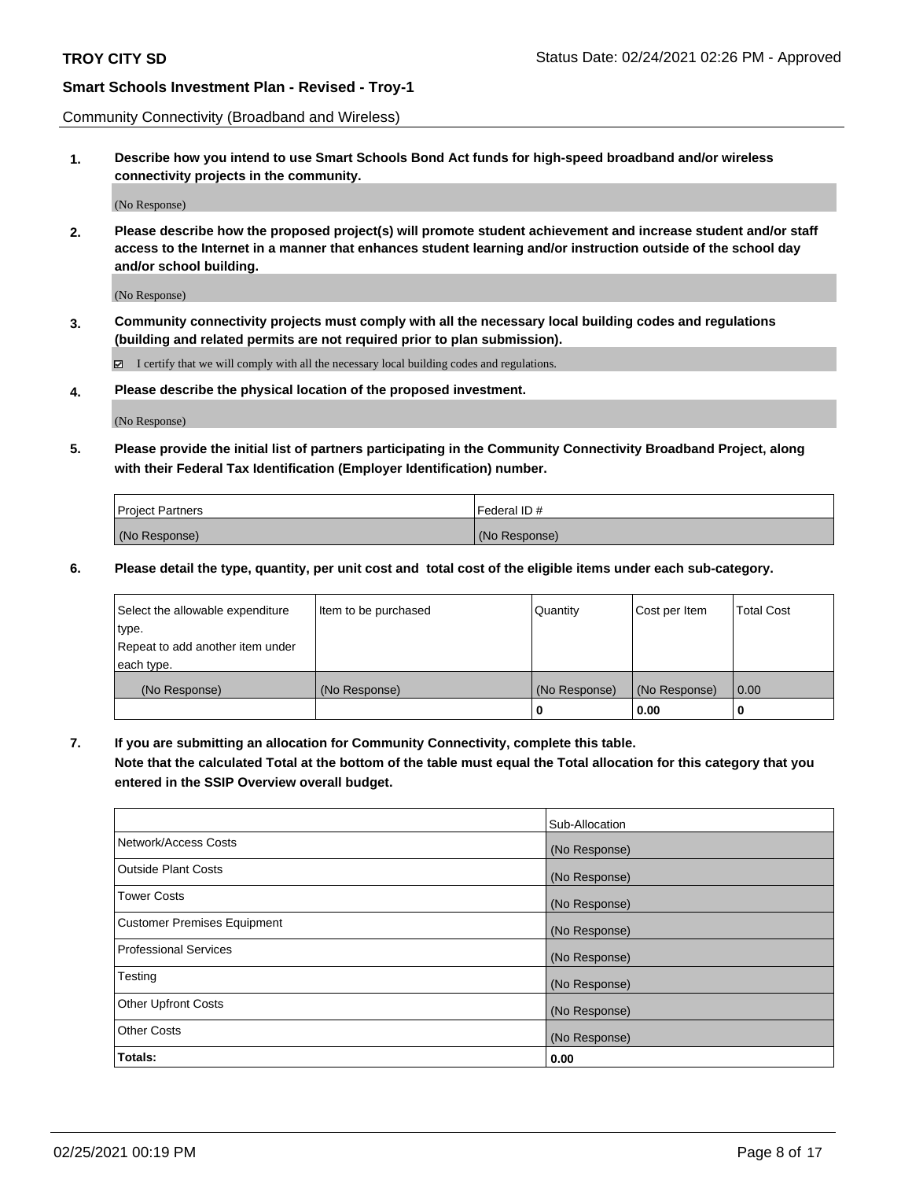Community Connectivity (Broadband and Wireless)

**1. Describe how you intend to use Smart Schools Bond Act funds for high-speed broadband and/or wireless connectivity projects in the community.**

(No Response)

**2. Please describe how the proposed project(s) will promote student achievement and increase student and/or staff access to the Internet in a manner that enhances student learning and/or instruction outside of the school day and/or school building.**

(No Response)

**3. Community connectivity projects must comply with all the necessary local building codes and regulations (building and related permits are not required prior to plan submission).**

 $\boxtimes$  I certify that we will comply with all the necessary local building codes and regulations.

**4. Please describe the physical location of the proposed investment.**

(No Response)

**5. Please provide the initial list of partners participating in the Community Connectivity Broadband Project, along with their Federal Tax Identification (Employer Identification) number.**

| <b>Project Partners</b> | l Federal ID # |
|-------------------------|----------------|
| (No Response)           | (No Response)  |

**6. Please detail the type, quantity, per unit cost and total cost of the eligible items under each sub-category.**

| Select the allowable expenditure | Item to be purchased | Quantity      | Cost per Item | <b>Total Cost</b> |
|----------------------------------|----------------------|---------------|---------------|-------------------|
| type.                            |                      |               |               |                   |
| Repeat to add another item under |                      |               |               |                   |
| each type.                       |                      |               |               |                   |
| (No Response)                    | (No Response)        | (No Response) | (No Response) | 0.00              |
|                                  |                      | o             | 0.00          |                   |

**7. If you are submitting an allocation for Community Connectivity, complete this table.**

**Note that the calculated Total at the bottom of the table must equal the Total allocation for this category that you entered in the SSIP Overview overall budget.**

|                                    | Sub-Allocation |
|------------------------------------|----------------|
| Network/Access Costs               | (No Response)  |
| Outside Plant Costs                | (No Response)  |
| <b>Tower Costs</b>                 | (No Response)  |
| <b>Customer Premises Equipment</b> | (No Response)  |
| <b>Professional Services</b>       | (No Response)  |
| Testing                            | (No Response)  |
| <b>Other Upfront Costs</b>         | (No Response)  |
| <b>Other Costs</b>                 | (No Response)  |
| Totals:                            | 0.00           |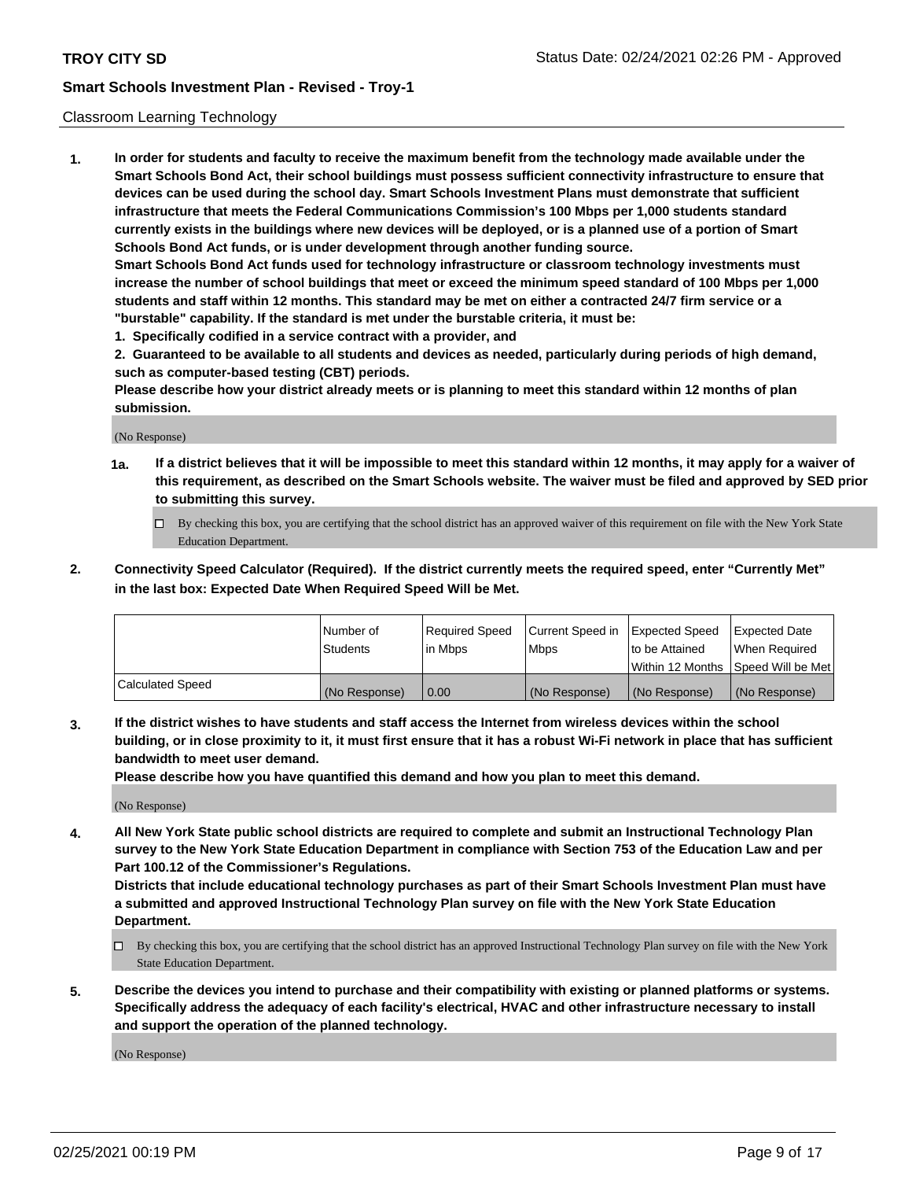## Classroom Learning Technology

**1. In order for students and faculty to receive the maximum benefit from the technology made available under the Smart Schools Bond Act, their school buildings must possess sufficient connectivity infrastructure to ensure that devices can be used during the school day. Smart Schools Investment Plans must demonstrate that sufficient infrastructure that meets the Federal Communications Commission's 100 Mbps per 1,000 students standard currently exists in the buildings where new devices will be deployed, or is a planned use of a portion of Smart Schools Bond Act funds, or is under development through another funding source. Smart Schools Bond Act funds used for technology infrastructure or classroom technology investments must increase the number of school buildings that meet or exceed the minimum speed standard of 100 Mbps per 1,000 students and staff within 12 months. This standard may be met on either a contracted 24/7 firm service or a**

**"burstable" capability. If the standard is met under the burstable criteria, it must be:**

**1. Specifically codified in a service contract with a provider, and**

**2. Guaranteed to be available to all students and devices as needed, particularly during periods of high demand, such as computer-based testing (CBT) periods.**

**Please describe how your district already meets or is planning to meet this standard within 12 months of plan submission.**

(No Response)

- **1a. If a district believes that it will be impossible to meet this standard within 12 months, it may apply for a waiver of this requirement, as described on the Smart Schools website. The waiver must be filed and approved by SED prior to submitting this survey.**
	- By checking this box, you are certifying that the school district has an approved waiver of this requirement on file with the New York State Education Department.
- **2. Connectivity Speed Calculator (Required). If the district currently meets the required speed, enter "Currently Met" in the last box: Expected Date When Required Speed Will be Met.**

|                  | l Number of     | Required Speed | Current Speed in | <b>Expected Speed</b> | <b>Expected Date</b>                |
|------------------|-----------------|----------------|------------------|-----------------------|-------------------------------------|
|                  | <b>Students</b> | l in Mbps      | l Mbps           | to be Attained        | When Required                       |
|                  |                 |                |                  |                       | Within 12 Months  Speed Will be Met |
| Calculated Speed | (No Response)   | 0.00           | (No Response)    | l (No Response)       | (No Response)                       |

**3. If the district wishes to have students and staff access the Internet from wireless devices within the school building, or in close proximity to it, it must first ensure that it has a robust Wi-Fi network in place that has sufficient bandwidth to meet user demand.**

**Please describe how you have quantified this demand and how you plan to meet this demand.**

(No Response)

**4. All New York State public school districts are required to complete and submit an Instructional Technology Plan survey to the New York State Education Department in compliance with Section 753 of the Education Law and per Part 100.12 of the Commissioner's Regulations.**

**Districts that include educational technology purchases as part of their Smart Schools Investment Plan must have a submitted and approved Instructional Technology Plan survey on file with the New York State Education Department.**

- By checking this box, you are certifying that the school district has an approved Instructional Technology Plan survey on file with the New York State Education Department.
- **5. Describe the devices you intend to purchase and their compatibility with existing or planned platforms or systems. Specifically address the adequacy of each facility's electrical, HVAC and other infrastructure necessary to install and support the operation of the planned technology.**

(No Response)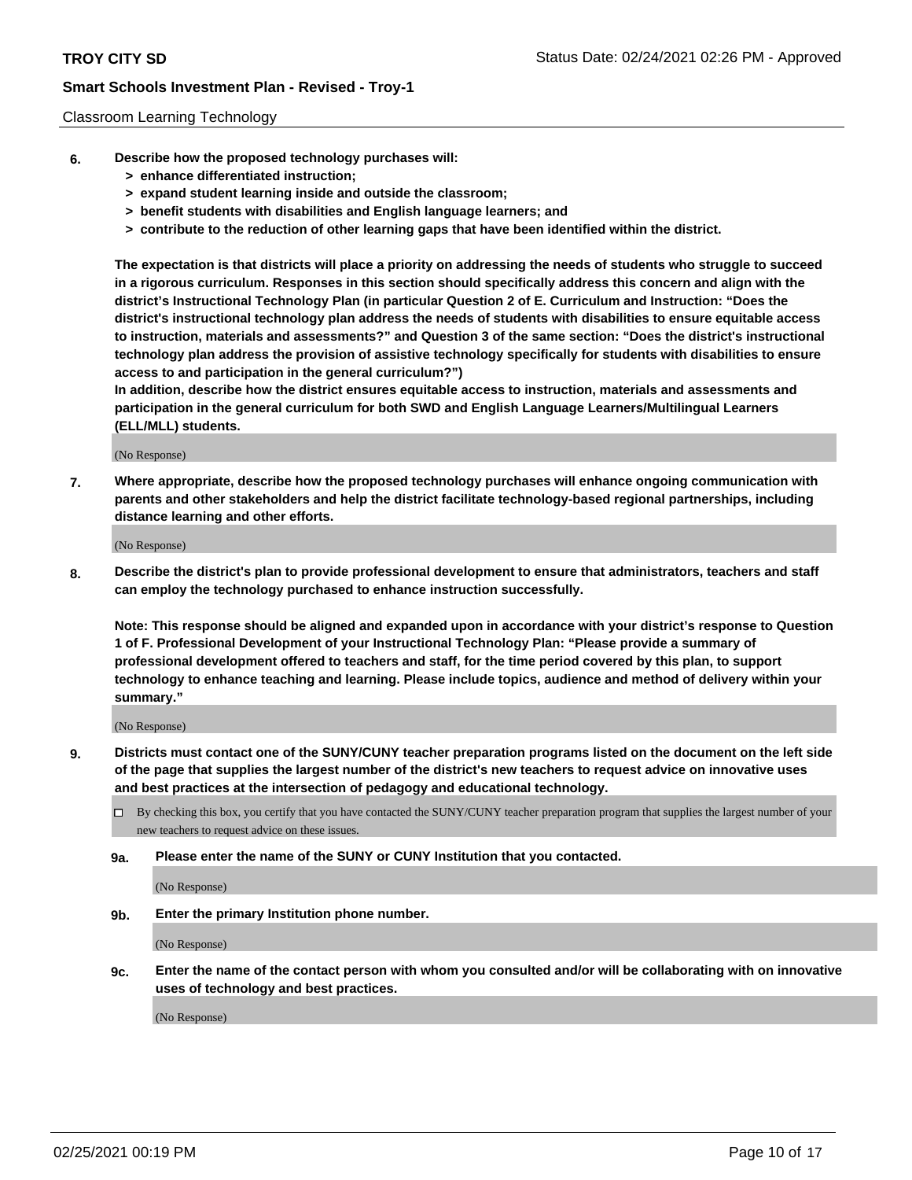### Classroom Learning Technology

- **6. Describe how the proposed technology purchases will:**
	- **> enhance differentiated instruction;**
	- **> expand student learning inside and outside the classroom;**
	- **> benefit students with disabilities and English language learners; and**
	- **> contribute to the reduction of other learning gaps that have been identified within the district.**

**The expectation is that districts will place a priority on addressing the needs of students who struggle to succeed in a rigorous curriculum. Responses in this section should specifically address this concern and align with the district's Instructional Technology Plan (in particular Question 2 of E. Curriculum and Instruction: "Does the district's instructional technology plan address the needs of students with disabilities to ensure equitable access to instruction, materials and assessments?" and Question 3 of the same section: "Does the district's instructional technology plan address the provision of assistive technology specifically for students with disabilities to ensure access to and participation in the general curriculum?")**

**In addition, describe how the district ensures equitable access to instruction, materials and assessments and participation in the general curriculum for both SWD and English Language Learners/Multilingual Learners (ELL/MLL) students.**

(No Response)

**7. Where appropriate, describe how the proposed technology purchases will enhance ongoing communication with parents and other stakeholders and help the district facilitate technology-based regional partnerships, including distance learning and other efforts.**

(No Response)

**8. Describe the district's plan to provide professional development to ensure that administrators, teachers and staff can employ the technology purchased to enhance instruction successfully.**

**Note: This response should be aligned and expanded upon in accordance with your district's response to Question 1 of F. Professional Development of your Instructional Technology Plan: "Please provide a summary of professional development offered to teachers and staff, for the time period covered by this plan, to support technology to enhance teaching and learning. Please include topics, audience and method of delivery within your summary."**

(No Response)

- **9. Districts must contact one of the SUNY/CUNY teacher preparation programs listed on the document on the left side of the page that supplies the largest number of the district's new teachers to request advice on innovative uses and best practices at the intersection of pedagogy and educational technology.**
	- By checking this box, you certify that you have contacted the SUNY/CUNY teacher preparation program that supplies the largest number of your new teachers to request advice on these issues.
	- **9a. Please enter the name of the SUNY or CUNY Institution that you contacted.**

(No Response)

**9b. Enter the primary Institution phone number.**

(No Response)

**9c. Enter the name of the contact person with whom you consulted and/or will be collaborating with on innovative uses of technology and best practices.**

(No Response)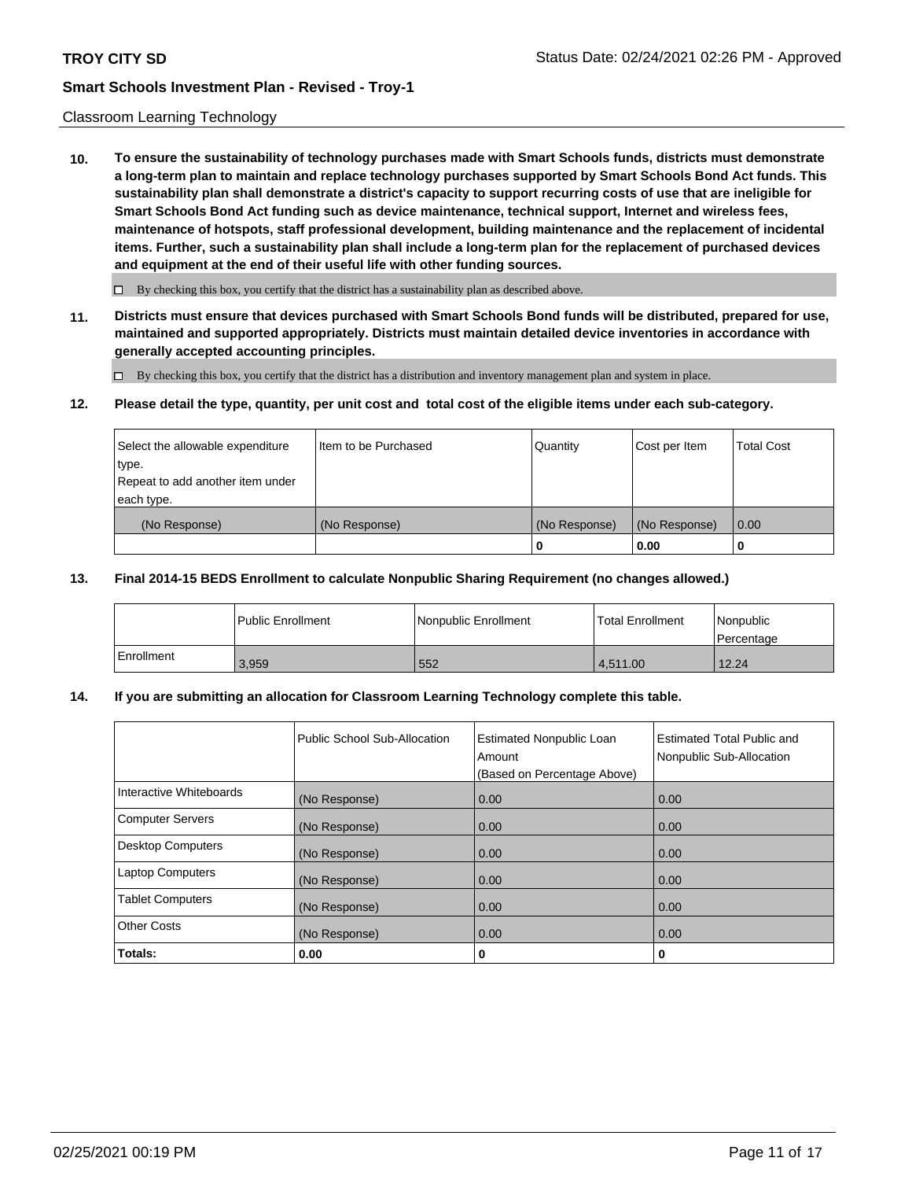### Classroom Learning Technology

**10. To ensure the sustainability of technology purchases made with Smart Schools funds, districts must demonstrate a long-term plan to maintain and replace technology purchases supported by Smart Schools Bond Act funds. This sustainability plan shall demonstrate a district's capacity to support recurring costs of use that are ineligible for Smart Schools Bond Act funding such as device maintenance, technical support, Internet and wireless fees, maintenance of hotspots, staff professional development, building maintenance and the replacement of incidental items. Further, such a sustainability plan shall include a long-term plan for the replacement of purchased devices and equipment at the end of their useful life with other funding sources.**

 $\Box$  By checking this box, you certify that the district has a sustainability plan as described above.

**11. Districts must ensure that devices purchased with Smart Schools Bond funds will be distributed, prepared for use, maintained and supported appropriately. Districts must maintain detailed device inventories in accordance with generally accepted accounting principles.**

By checking this box, you certify that the district has a distribution and inventory management plan and system in place.

#### **12. Please detail the type, quantity, per unit cost and total cost of the eligible items under each sub-category.**

| Select the allowable expenditure<br>type.<br>Repeat to add another item under | Item to be Purchased | Quantity      | Cost per Item | <b>Total Cost</b> |
|-------------------------------------------------------------------------------|----------------------|---------------|---------------|-------------------|
| each type.<br>(No Response)                                                   | (No Response)        | (No Response) | (No Response) | 0.00              |
|                                                                               |                      | 0             | 0.00          |                   |

### **13. Final 2014-15 BEDS Enrollment to calculate Nonpublic Sharing Requirement (no changes allowed.)**

|              | l Public Enrollment | Nonpublic Enrollment | <b>Total Enrollment</b> | Nonpublic<br>l Percentage |
|--------------|---------------------|----------------------|-------------------------|---------------------------|
| l Enrollment | 3.959               | 552                  | 4.511.00                | 12.24                     |

# **14. If you are submitting an allocation for Classroom Learning Technology complete this table.**

|                         | Public School Sub-Allocation | <b>Estimated Nonpublic Loan</b><br>Amount<br>(Based on Percentage Above) | Estimated Total Public and<br>Nonpublic Sub-Allocation |
|-------------------------|------------------------------|--------------------------------------------------------------------------|--------------------------------------------------------|
| Interactive Whiteboards | (No Response)                | 0.00                                                                     | 0.00                                                   |
| Computer Servers        | (No Response)                | 0.00                                                                     | 0.00                                                   |
| Desktop Computers       | (No Response)                | 0.00                                                                     | 0.00                                                   |
| <b>Laptop Computers</b> | (No Response)                | 0.00                                                                     | 0.00                                                   |
| <b>Tablet Computers</b> | (No Response)                | 0.00                                                                     | 0.00                                                   |
| Other Costs             | (No Response)                | 0.00                                                                     | 0.00                                                   |
| Totals:                 | 0.00                         | 0                                                                        | 0                                                      |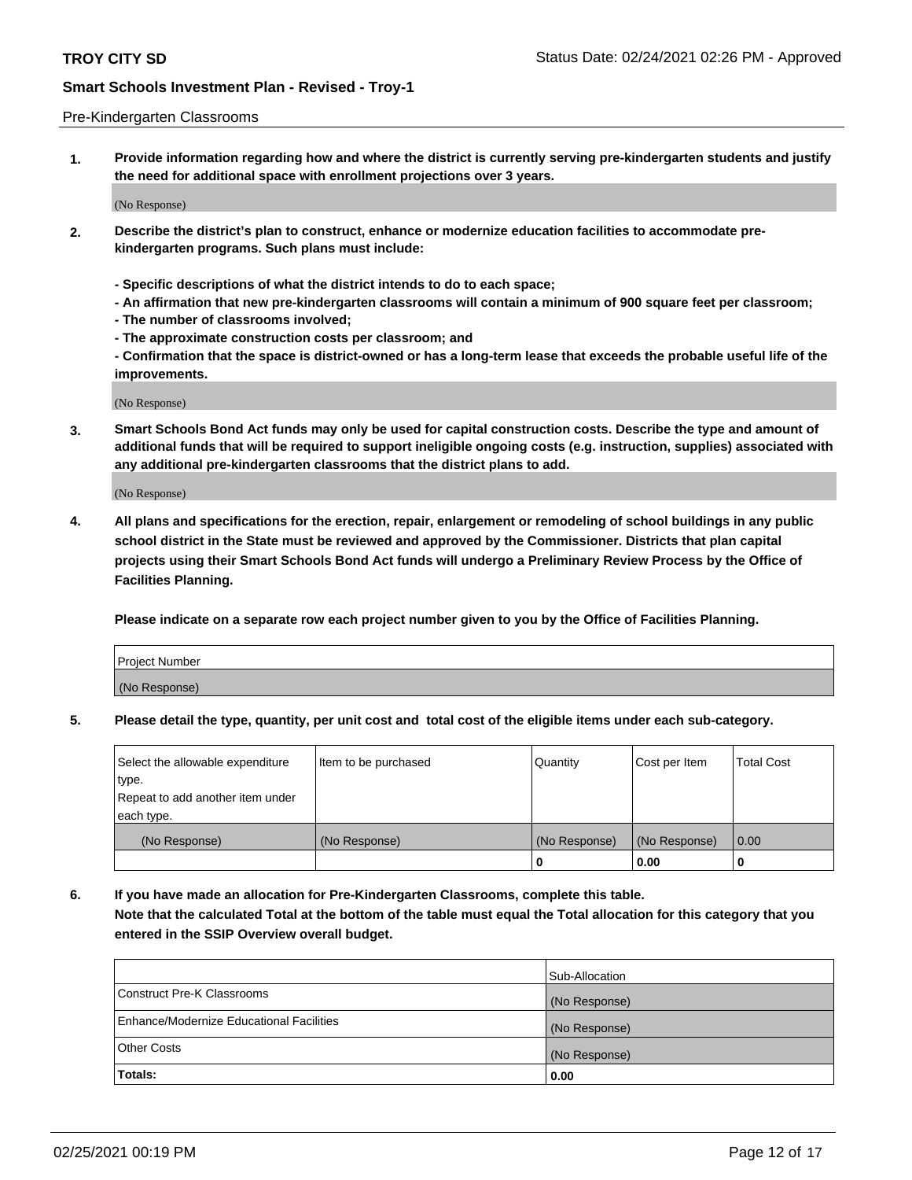#### Pre-Kindergarten Classrooms

**1. Provide information regarding how and where the district is currently serving pre-kindergarten students and justify the need for additional space with enrollment projections over 3 years.**

(No Response)

- **2. Describe the district's plan to construct, enhance or modernize education facilities to accommodate prekindergarten programs. Such plans must include:**
	- **Specific descriptions of what the district intends to do to each space;**
	- **An affirmation that new pre-kindergarten classrooms will contain a minimum of 900 square feet per classroom;**
	- **The number of classrooms involved;**
	- **The approximate construction costs per classroom; and**
	- **Confirmation that the space is district-owned or has a long-term lease that exceeds the probable useful life of the improvements.**

(No Response)

**3. Smart Schools Bond Act funds may only be used for capital construction costs. Describe the type and amount of additional funds that will be required to support ineligible ongoing costs (e.g. instruction, supplies) associated with any additional pre-kindergarten classrooms that the district plans to add.**

(No Response)

**4. All plans and specifications for the erection, repair, enlargement or remodeling of school buildings in any public school district in the State must be reviewed and approved by the Commissioner. Districts that plan capital projects using their Smart Schools Bond Act funds will undergo a Preliminary Review Process by the Office of Facilities Planning.**

**Please indicate on a separate row each project number given to you by the Office of Facilities Planning.**

| Project Number |  |
|----------------|--|
| (No Response)  |  |
|                |  |

**5. Please detail the type, quantity, per unit cost and total cost of the eligible items under each sub-category.**

| Select the allowable expenditure | Item to be purchased | Quantity      | Cost per Item | <b>Total Cost</b> |
|----------------------------------|----------------------|---------------|---------------|-------------------|
| 'type.                           |                      |               |               |                   |
| Repeat to add another item under |                      |               |               |                   |
| each type.                       |                      |               |               |                   |
| (No Response)                    | (No Response)        | (No Response) | (No Response) | 0.00              |
|                                  |                      | U             | 0.00          |                   |

**6. If you have made an allocation for Pre-Kindergarten Classrooms, complete this table. Note that the calculated Total at the bottom of the table must equal the Total allocation for this category that you entered in the SSIP Overview overall budget.**

|                                          | Sub-Allocation |
|------------------------------------------|----------------|
| Construct Pre-K Classrooms               | (No Response)  |
| Enhance/Modernize Educational Facilities | (No Response)  |
| <b>Other Costs</b>                       | (No Response)  |
| Totals:                                  | 0.00           |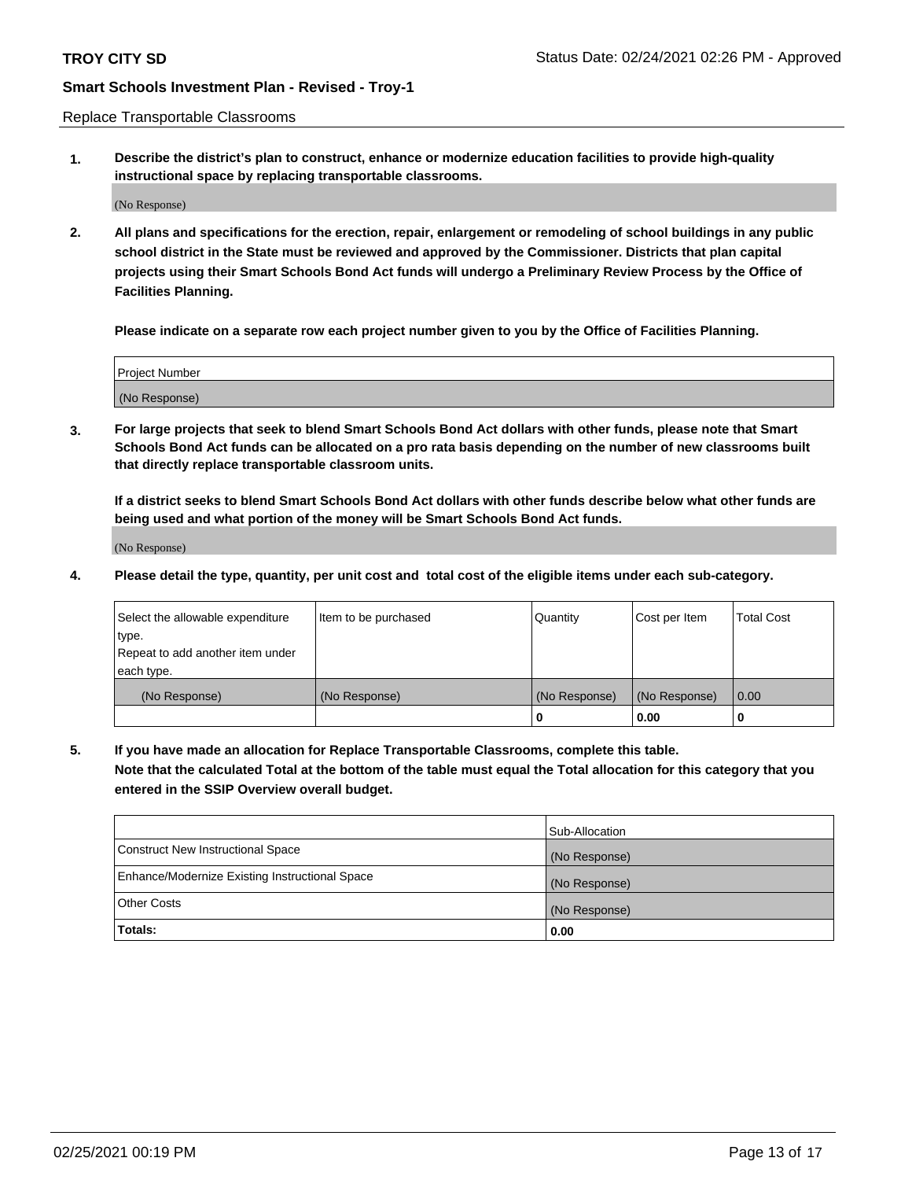Replace Transportable Classrooms

**1. Describe the district's plan to construct, enhance or modernize education facilities to provide high-quality instructional space by replacing transportable classrooms.**

(No Response)

**2. All plans and specifications for the erection, repair, enlargement or remodeling of school buildings in any public school district in the State must be reviewed and approved by the Commissioner. Districts that plan capital projects using their Smart Schools Bond Act funds will undergo a Preliminary Review Process by the Office of Facilities Planning.**

**Please indicate on a separate row each project number given to you by the Office of Facilities Planning.**

| Project Number |  |
|----------------|--|
|                |  |
|                |  |
|                |  |
|                |  |
| (No Response)  |  |
|                |  |
|                |  |
|                |  |

**3. For large projects that seek to blend Smart Schools Bond Act dollars with other funds, please note that Smart Schools Bond Act funds can be allocated on a pro rata basis depending on the number of new classrooms built that directly replace transportable classroom units.**

**If a district seeks to blend Smart Schools Bond Act dollars with other funds describe below what other funds are being used and what portion of the money will be Smart Schools Bond Act funds.**

(No Response)

**4. Please detail the type, quantity, per unit cost and total cost of the eligible items under each sub-category.**

| Select the allowable expenditure | Item to be purchased | Quantity      | Cost per Item | Total Cost |
|----------------------------------|----------------------|---------------|---------------|------------|
| ∣type.                           |                      |               |               |            |
| Repeat to add another item under |                      |               |               |            |
| each type.                       |                      |               |               |            |
| (No Response)                    | (No Response)        | (No Response) | (No Response) | 0.00       |
|                                  |                      | u             | 0.00          |            |

**5. If you have made an allocation for Replace Transportable Classrooms, complete this table. Note that the calculated Total at the bottom of the table must equal the Total allocation for this category that you entered in the SSIP Overview overall budget.**

|                                                | Sub-Allocation |
|------------------------------------------------|----------------|
| Construct New Instructional Space              | (No Response)  |
| Enhance/Modernize Existing Instructional Space | (No Response)  |
| Other Costs                                    | (No Response)  |
| Totals:                                        | 0.00           |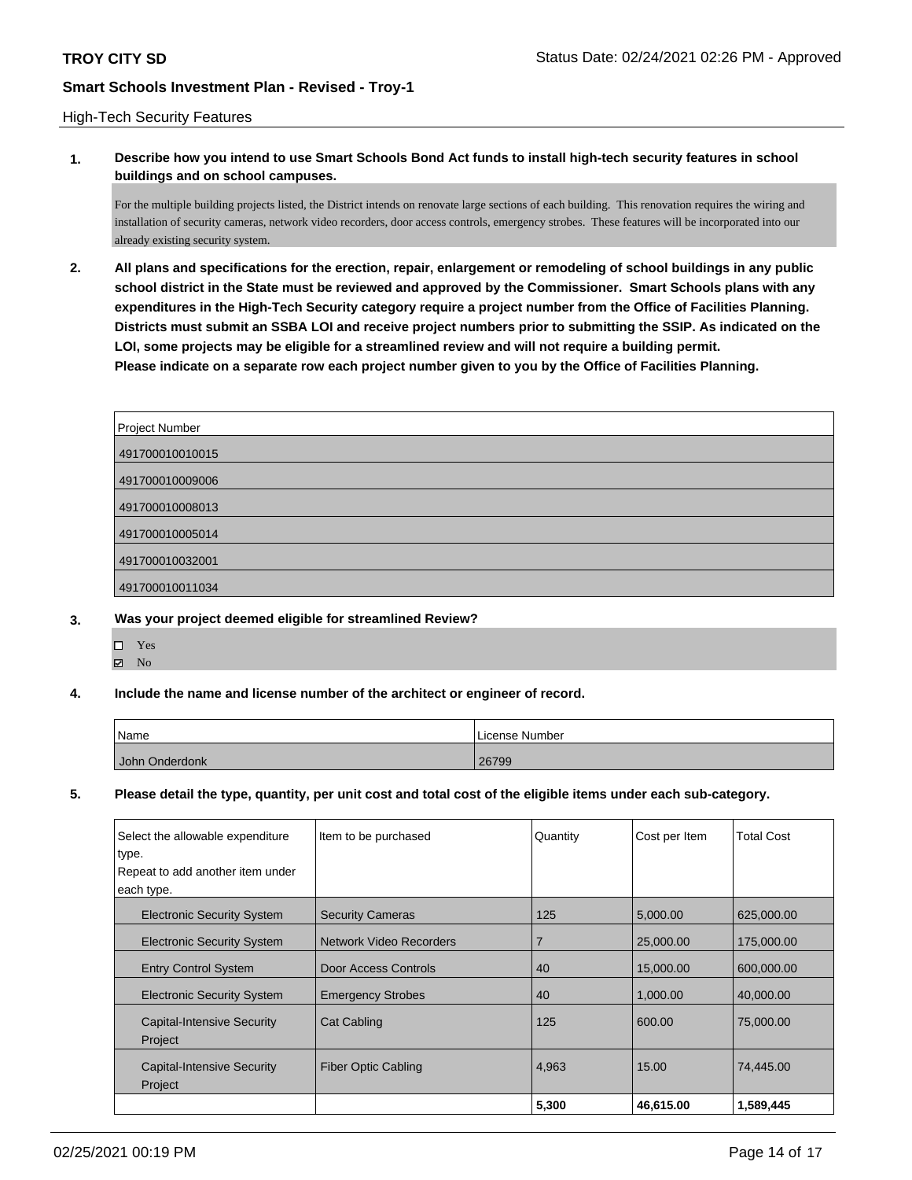### High-Tech Security Features

**1. Describe how you intend to use Smart Schools Bond Act funds to install high-tech security features in school buildings and on school campuses.**

For the multiple building projects listed, the District intends on renovate large sections of each building. This renovation requires the wiring and installation of security cameras, network video recorders, door access controls, emergency strobes. These features will be incorporated into our already existing security system.

**2. All plans and specifications for the erection, repair, enlargement or remodeling of school buildings in any public school district in the State must be reviewed and approved by the Commissioner. Smart Schools plans with any expenditures in the High-Tech Security category require a project number from the Office of Facilities Planning. Districts must submit an SSBA LOI and receive project numbers prior to submitting the SSIP. As indicated on the LOI, some projects may be eligible for a streamlined review and will not require a building permit. Please indicate on a separate row each project number given to you by the Office of Facilities Planning.**

| Project Number  |
|-----------------|
| 491700010010015 |
| 491700010009006 |
| 491700010008013 |
| 491700010005014 |
| 491700010032001 |
| 491700010011034 |

#### **3. Was your project deemed eligible for streamlined Review?**

- Yes
- $\boxtimes$  No

#### **4. Include the name and license number of the architect or engineer of record.**

| Name           | License Number |
|----------------|----------------|
| John Onderdonk | 26799          |

## **5. Please detail the type, quantity, per unit cost and total cost of the eligible items under each sub-category.**

| Select the allowable expenditure  | Item to be purchased           | Quantity | Cost per Item | <b>Total Cost</b> |
|-----------------------------------|--------------------------------|----------|---------------|-------------------|
| type.                             |                                |          |               |                   |
| Repeat to add another item under  |                                |          |               |                   |
| each type.                        |                                |          |               |                   |
| <b>Electronic Security System</b> | <b>Security Cameras</b>        | 125      | 5.000.00      | 625,000.00        |
| <b>Electronic Security System</b> | <b>Network Video Recorders</b> | 7        | 25,000.00     | 175,000.00        |
| <b>Entry Control System</b>       | Door Access Controls           | 40       | 15,000.00     | 600,000.00        |
| <b>Electronic Security System</b> | <b>Emergency Strobes</b>       | 40       | 1,000.00      | 40,000.00         |
| <b>Capital-Intensive Security</b> | <b>Cat Cabling</b>             | 125      | 600.00        | 75,000,00         |
| Project                           |                                |          |               |                   |
| <b>Capital-Intensive Security</b> | <b>Fiber Optic Cabling</b>     | 4,963    | 15.00         | 74,445.00         |
| Project                           |                                |          |               |                   |
|                                   |                                | 5,300    | 46,615.00     | 1,589,445         |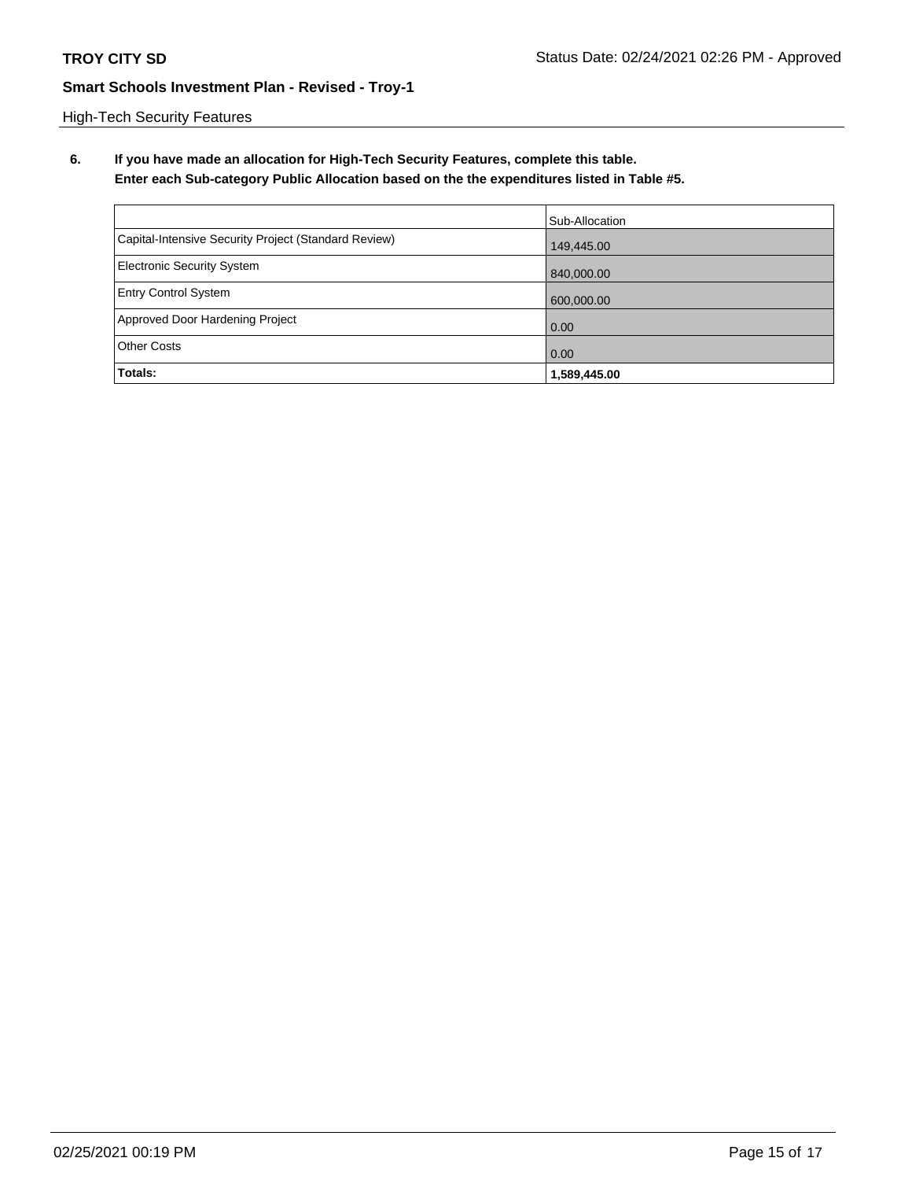High-Tech Security Features

**6. If you have made an allocation for High-Tech Security Features, complete this table. Enter each Sub-category Public Allocation based on the the expenditures listed in Table #5.**

|                                                      | Sub-Allocation |
|------------------------------------------------------|----------------|
| Capital-Intensive Security Project (Standard Review) | 149,445.00     |
| <b>Electronic Security System</b>                    | 840,000.00     |
| <b>Entry Control System</b>                          | 600,000.00     |
| Approved Door Hardening Project                      | 0.00           |
| <b>Other Costs</b>                                   | 0.00           |
| Totals:                                              | 1,589,445.00   |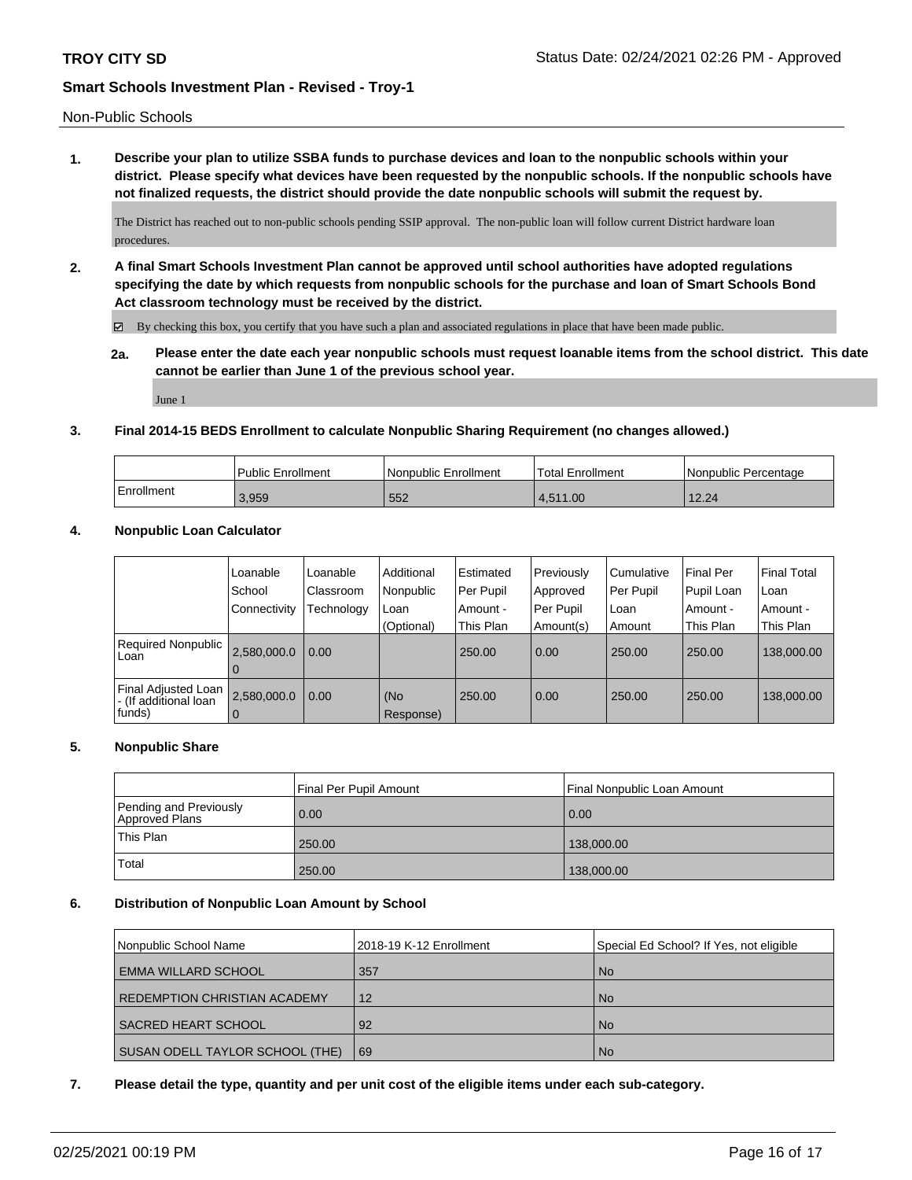Non-Public Schools

**1. Describe your plan to utilize SSBA funds to purchase devices and loan to the nonpublic schools within your district. Please specify what devices have been requested by the nonpublic schools. If the nonpublic schools have not finalized requests, the district should provide the date nonpublic schools will submit the request by.**

The District has reached out to non-public schools pending SSIP approval. The non-public loan will follow current District hardware loan procedures.

**2. A final Smart Schools Investment Plan cannot be approved until school authorities have adopted regulations specifying the date by which requests from nonpublic schools for the purchase and loan of Smart Schools Bond Act classroom technology must be received by the district.**

 $\boxtimes$  By checking this box, you certify that you have such a plan and associated regulations in place that have been made public.

**2a. Please enter the date each year nonpublic schools must request loanable items from the school district. This date cannot be earlier than June 1 of the previous school year.**

June 1

### **3. Final 2014-15 BEDS Enrollment to calculate Nonpublic Sharing Requirement (no changes allowed.)**

|            | Public Enrollment | Nonpublic Enrollment | 'Total Enrollment | Nonpublic Percentage |
|------------|-------------------|----------------------|-------------------|----------------------|
| Enrollment | 3,959             | 552                  | 4.511.00          | 12.24                |

### **4. Nonpublic Loan Calculator**

|                                                        | Loanable<br>School<br>Connectivity | Loanable<br>Classroom<br>Technology | Additional<br>Nonpublic<br>Loan | Estimated<br>Per Pupil<br>Amount - | Previously<br>Approved<br>Per Pupil | Cumulative<br>Per Pupil<br>Loan | <b>Final Per</b><br>Pupil Loan<br>Amount - | l Final Total<br>l Loan<br>Amount - |
|--------------------------------------------------------|------------------------------------|-------------------------------------|---------------------------------|------------------------------------|-------------------------------------|---------------------------------|--------------------------------------------|-------------------------------------|
| <b>Required Nonpublic</b><br>Loan                      | 2,580,000.0<br>$\Omega$            | 0.00                                | (Optional)                      | This Plan<br>250.00                | Amount(s)<br>0.00                   | Amount<br>250.00                | This Plan<br>250.00                        | This Plan<br>138,000.00             |
| Final Adjusted Loan<br>- (If additional loan<br>funds) | 2,580,000.0<br>0                   | 0.00                                | (No<br>Response)                | 250.00                             | 0.00                                | 250.00                          | 250.00                                     | 138,000.00                          |

## **5. Nonpublic Share**

|                                          | Final Per Pupil Amount | Final Nonpublic Loan Amount |
|------------------------------------------|------------------------|-----------------------------|
| Pending and Previously<br>Approved Plans | 0.00                   | 0.00                        |
| This Plan                                | 250.00                 | 138,000.00                  |
| Total                                    | 250.00                 | 138,000.00                  |

#### **6. Distribution of Nonpublic Loan Amount by School**

| Nonpublic School Name               | 2018-19 K-12 Enrollment | Special Ed School? If Yes, not eligible |
|-------------------------------------|-------------------------|-----------------------------------------|
| <b>EMMA WILLARD SCHOOL</b>          | 357                     | <b>No</b>                               |
| <b>REDEMPTION CHRISTIAN ACADEMY</b> | 12                      | <b>No</b>                               |
| SACRED HEART SCHOOL                 | 92                      | <b>No</b>                               |
| SUSAN ODELL TAYLOR SCHOOL (THE)     | 69                      | <b>No</b>                               |

#### **7. Please detail the type, quantity and per unit cost of the eligible items under each sub-category.**